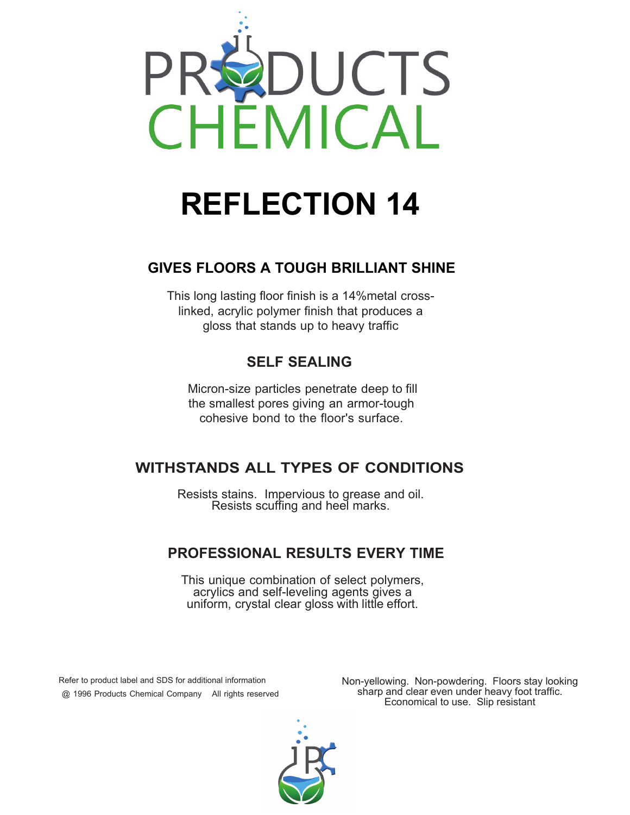

# **REFLECTION 14**

## **GIVES FLOORS A TOUGH BRILLIANT SHINE**

This long lasting floor finish is a 14%metal crosslinked, acrylic polymer finish that produces a gloss that stands up to heavy traffic

## **SELF SEALING**

Micron-size particles penetrate deep to fill the smallest pores giving an armor-tough cohesive bond to the floor's surface.

## **WITHSTANDS ALL TYPES OF CONDITIONS**

Resists stains. Impervious to grease and oil. Resists scuffing and heel marks.

## **PROFESSIONAL RESULTS EVERY TIME**

This unique combination of select polymers, acrylics and self-leveling agents gives a uniform, crystal clear gloss with little effort.

 Refer to product label and SDS for additional information @ 1996 Products Chemical Company All rights reserved Non-yellowing. Non-powdering. Floors stay looking sharp and clear even under heavy foot traffic. Economical to use. Slip resistant